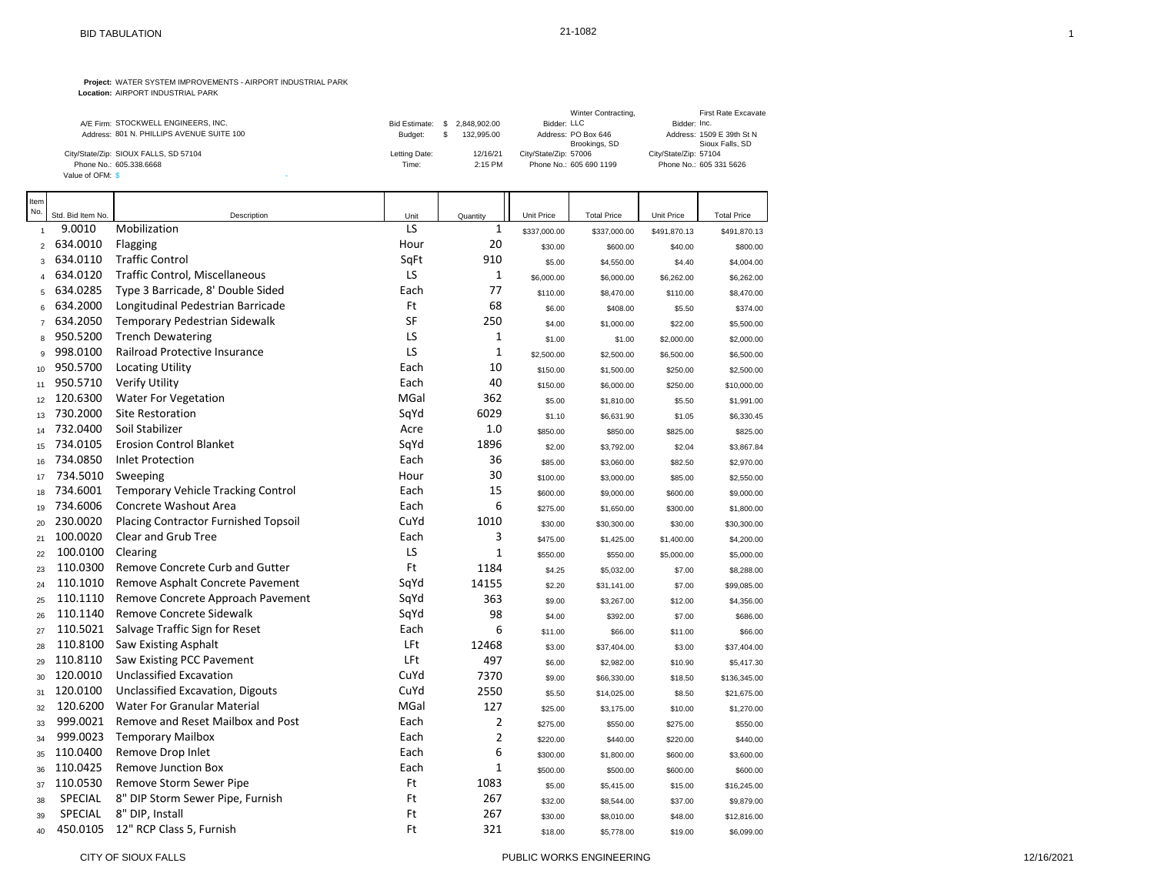|                                           |               |              | Winter Contracting,     | First Rate Excavate       |
|-------------------------------------------|---------------|--------------|-------------------------|---------------------------|
| A/E Firm: STOCKWELL ENGINEERS. INC.       | Bid Estimate: | 2.848.902.00 | Bidder: LLC             | Bidder: Inc.              |
| Address: 801 N. PHILLIPS AVENUE SUITE 100 | Budget:       | 132.995.00   | Address: PO Box 646     | Address: 1509 E 39th St N |
|                                           |               |              | Brookings, SD           | Sioux Falls, SD           |
| City/State/Zip: SIOUX FALLS, SD 57104     | Letting Date: | 12/16/21     | City/State/Zip: 57006   | City/State/Zip: 57104     |
| Phone No.: 605.338.6668                   | Time:         | $2:15$ PM    | Phone No.: 605 690 1199 | Phone No.: 605 331 5626   |
| Value of OFM: \$                          |               |              |                         |                           |

| Item           |                   |                                             |      |                |              |                    |              |                    |
|----------------|-------------------|---------------------------------------------|------|----------------|--------------|--------------------|--------------|--------------------|
| No.            | Std. Bid Item No. | Description                                 | Unit | Quantity       | Unit Price   | <b>Total Price</b> | Unit Price   | <b>Total Price</b> |
| $\overline{1}$ | 9.0010            | Mobilization                                | LS   | $\mathbf{1}$   | \$337,000.00 | \$337,000.00       | \$491,870.13 | \$491,870.13       |
| $\overline{2}$ | 634.0010          | Flagging                                    | Hour | 20             | \$30.00      | \$600.00           | \$40.00      | \$800.00           |
| 3              | 634.0110          | <b>Traffic Control</b>                      | SqFt | 910            | \$5.00       | \$4,550.00         | \$4.40       | \$4,004.00         |
| $\overline{4}$ | 634.0120          | Traffic Control, Miscellaneous              | LS   | $\mathbf{1}$   | \$6,000.00   | \$6,000.00         | \$6,262.00   | \$6,262.00         |
| 5              | 634.0285          | Type 3 Barricade, 8' Double Sided           | Each | 77             | \$110.00     | \$8,470.00         | \$110.00     | \$8,470.00         |
| 6              | 634.2000          | Longitudinal Pedestrian Barricade           | Ft   | 68             | \$6.00       | \$408.00           | \$5.50       | \$374.00           |
| $\overline{7}$ | 634.2050          | Temporary Pedestrian Sidewalk               | SF   | 250            | \$4.00       | \$1,000.00         | \$22.00      | \$5,500.00         |
| 8              | 950.5200          | <b>Trench Dewatering</b>                    | LS   | 1              | \$1.00       | \$1.00             | \$2,000.00   | \$2,000.00         |
| 9              | 998.0100          | Railroad Protective Insurance               | LS   | $\mathbf{1}$   | \$2,500.00   | \$2,500.00         | \$6,500.00   | \$6,500.00         |
| 10             | 950.5700          | <b>Locating Utility</b>                     | Each | 10             | \$150.00     | \$1,500.00         | \$250.00     | \$2,500.00         |
| 11             | 950.5710          | Verify Utility                              | Each | 40             | \$150.00     | \$6,000.00         | \$250.00     | \$10,000.00        |
| 12             | 120.6300          | Water For Vegetation                        | MGal | 362            | \$5.00       | \$1,810.00         | \$5.50       | \$1,991.00         |
| 13             | 730.2000          | Site Restoration                            | SqYd | 6029           | \$1.10       | \$6,631.90         | \$1.05       | \$6,330.45         |
| 14             | 732.0400          | Soil Stabilizer                             | Acre | 1.0            | \$850.00     | \$850.00           | \$825.00     | \$825.00           |
| 15             | 734.0105          | <b>Erosion Control Blanket</b>              | SqYd | 1896           | \$2.00       | \$3,792.00         | \$2.04       | \$3,867.84         |
| 16             | 734.0850          | <b>Inlet Protection</b>                     | Each | 36             | \$85.00      | \$3,060.00         | \$82.50      | \$2,970.00         |
| 17             | 734.5010          | Sweeping                                    | Hour | 30             | \$100.00     | \$3,000.00         | \$85.00      | \$2,550.00         |
| 18             | 734.6001          | <b>Temporary Vehicle Tracking Control</b>   | Each | 15             | \$600.00     | \$9,000.00         | \$600.00     | \$9,000.00         |
| 19             | 734.6006          | Concrete Washout Area                       | Each | 6              | \$275.00     | \$1,650.00         | \$300.00     | \$1,800.00         |
| 20             | 230.0020          | <b>Placing Contractor Furnished Topsoil</b> | CuYd | 1010           | \$30.00      | \$30,300.00        | \$30.00      | \$30,300.00        |
| 21             | 100.0020          | Clear and Grub Tree                         | Each | 3              | \$475.00     | \$1,425.00         | \$1,400.00   | \$4,200.00         |
| 22             | 100.0100          | Clearing                                    | LS   | $\mathbf{1}$   | \$550.00     | \$550.00           | \$5,000.00   | \$5,000.00         |
| 23             | 110.0300          | Remove Concrete Curb and Gutter             | Ft   | 1184           | \$4.25       | \$5,032.00         | \$7.00       | \$8,288.00         |
| 24             | 110.1010          | Remove Asphalt Concrete Pavement            | SqYd | 14155          | \$2.20       | \$31,141.00        | \$7.00       | \$99,085.00        |
| 25             | 110.1110          | Remove Concrete Approach Pavement           | SqYd | 363            | \$9.00       | \$3,267.00         | \$12.00      | \$4,356.00         |
| 26             | 110.1140          | Remove Concrete Sidewalk                    | SqYd | 98             | \$4.00       | \$392.00           | \$7.00       | \$686.00           |
| 27             | 110.5021          | Salvage Traffic Sign for Reset              | Each | 6              | \$11.00      | \$66.00            | \$11.00      | \$66.00            |
| 28             | 110.8100          | Saw Existing Asphalt                        | LFt  | 12468          | \$3.00       | \$37,404.00        | \$3.00       | \$37,404.00        |
| 29             | 110.8110          | Saw Existing PCC Pavement                   | LFt  | 497            | \$6.00       | \$2,982.00         | \$10.90      | \$5,417.30         |
| 30             | 120.0010          | Unclassified Excavation                     | CuYd | 7370           | \$9.00       | \$66,330.00        | \$18.50      | \$136,345.00       |
| 31             | 120.0100          | Unclassified Excavation, Digouts            | CuYd | 2550           | \$5.50       | \$14,025.00        | \$8.50       | \$21,675.00        |
| 32             | 120.6200          | Water For Granular Material                 | MGal | 127            | \$25.00      | \$3,175.00         | \$10.00      | \$1,270.00         |
| 33             | 999.0021          | Remove and Reset Mailbox and Post           | Each | 2              | \$275.00     | \$550.00           | \$275.00     | \$550.00           |
| 34             | 999.0023          | <b>Temporary Mailbox</b>                    | Each | $\overline{2}$ | \$220.00     | \$440.00           | \$220.00     | \$440.00           |
| 35             | 110.0400          | Remove Drop Inlet                           | Each | 6              | \$300.00     | \$1,800.00         | \$600.00     | \$3,600.00         |
| 36             | 110.0425          | <b>Remove Junction Box</b>                  | Each | $\mathbf{1}$   | \$500.00     | \$500.00           | \$600.00     | \$600.00           |
| 37             | 110.0530          | Remove Storm Sewer Pipe                     | Ft   | 1083           | \$5.00       | \$5,415.00         | \$15.00      | \$16,245.00        |
| 38             | <b>SPECIAL</b>    | 8" DIP Storm Sewer Pipe, Furnish            | Ft   | 267            | \$32.00      | \$8,544.00         | \$37.00      | \$9,879.00         |
| 39             | <b>SPECIAL</b>    | 8" DIP, Install                             | Ft   | 267            | \$30.00      | \$8,010.00         | \$48.00      | \$12,816.00        |
| 40             | 450.0105          | 12" RCP Class 5, Furnish                    | Ft   | 321            | \$18.00      | \$5,778.00         | \$19.00      | \$6,099.00         |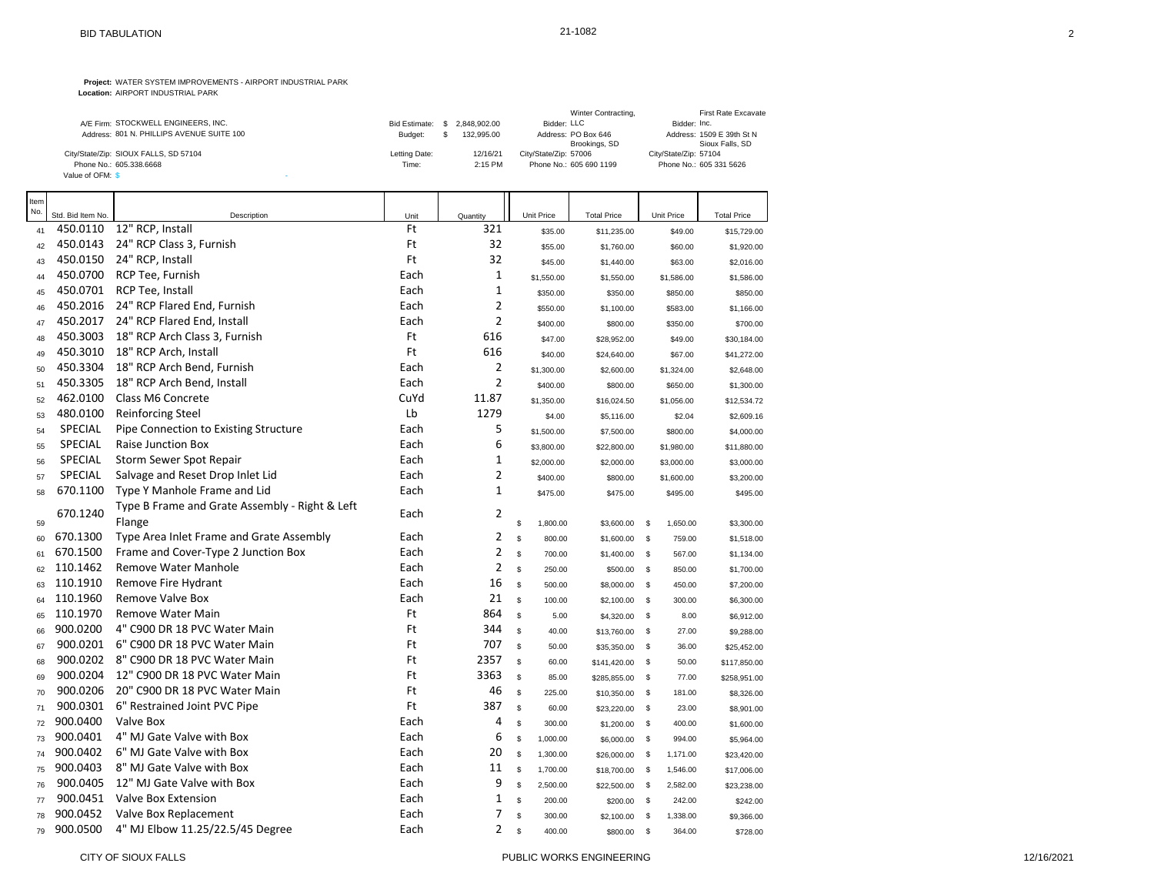|                                           |                      |              | Winter Contracting,     | First Rate Excavate       |
|-------------------------------------------|----------------------|--------------|-------------------------|---------------------------|
| A/E Firm: STOCKWELL ENGINEERS, INC.       | <b>Bid Estimate:</b> | 2.848.902.00 | Bidder: LLC             | Bidder: Inc.              |
| Address: 801 N. PHILLIPS AVENUE SUITE 100 | Budget:              | 132.995.00   | Address: PO Box 646     | Address: 1509 E 39th St N |
|                                           |                      |              | Brookings, SD           | Sioux Falls, SD           |
| City/State/Zip: SIOUX FALLS, SD 57104     | Letting Date:        | 12/16/21     | City/State/Zip: 57006   | City/State/Zip: 57104     |
| Phone No.: 605.338.6668                   | Time:                | $2:15$ PM    | Phone No.: 605 690 1199 | Phone No.: 605 331 5626   |
| Value of OFM: \$                          |                      |              |                         |                           |

| Item<br>No. |                               |                                                |            |                     |                          |                    |                        |                    |
|-------------|-------------------------------|------------------------------------------------|------------|---------------------|--------------------------|--------------------|------------------------|--------------------|
|             | Std. Bid Item No.<br>450.0110 | Description                                    | Unit<br>Ft | Quantity<br>321     | Unit Price               | <b>Total Price</b> | Unit Price             | <b>Total Price</b> |
| 41          | 450.0143                      | 12" RCP, Install<br>24" RCP Class 3, Furnish   | Ft         | 32                  | \$35.00                  | \$11,235.00        | \$49.00                | \$15,729.00        |
| 42          |                               |                                                |            | 32                  | \$55.00                  | \$1,760.00         | \$60.00                | \$1,920.00         |
| 43          | 450.0150                      | 24" RCP, Install                               | Ft         | $\mathbf{1}$        | \$45.00                  | \$1,440.00         | \$63.00                | \$2,016.00         |
| 44          | 450.0700                      | RCP Tee, Furnish                               | Each       |                     | \$1,550.00               | \$1,550.00         | \$1,586.00             | \$1,586.00         |
| 45          | 450.0701                      | RCP Tee, Install                               | Each       | $\mathbf{1}$        | \$350.00                 | \$350.00           | \$850.00               | \$850.00           |
| 46          | 450.2016                      | 24" RCP Flared End, Furnish                    | Each       | 2<br>$\overline{2}$ | \$550.00                 | \$1,100.00         | \$583.00               | \$1,166.00         |
| 47          | 450.2017                      | 24" RCP Flared End, Install                    | Each       |                     | \$400.00                 | \$800.00           | \$350.00               | \$700.00           |
| 48          | 450.3003                      | 18" RCP Arch Class 3, Furnish                  | Ft         | 616                 | \$47.00                  | \$28,952.00        | \$49.00                | \$30,184.00        |
| 49          | 450.3010                      | 18" RCP Arch, Install                          | Ft         | 616                 | \$40.00                  | \$24,640.00        | \$67.00                | \$41,272.00        |
| 50          | 450.3304                      | 18" RCP Arch Bend, Furnish                     | Each       | 2                   | \$1,300.00               | \$2,600.00         | \$1,324.00             | \$2,648.00         |
| 51          | 450.3305                      | 18" RCP Arch Bend, Install                     | Each       | 2                   | \$400.00                 | \$800.00           | \$650.00               | \$1,300.00         |
| 52          | 462.0100                      | Class M6 Concrete                              | CuYd       | 11.87               | \$1,350.00               | \$16,024.50        | \$1,056.00             | \$12,534.72        |
| 53          | 480.0100                      | <b>Reinforcing Steel</b>                       | Lb         | 1279                | \$4.00                   | \$5,116.00         | \$2.04                 | \$2,609.16         |
| 54          | <b>SPECIAL</b>                | Pipe Connection to Existing Structure          | Each       | 5                   | \$1,500.00               | \$7,500.00         | \$800.00               | \$4,000.00         |
| 55          | <b>SPECIAL</b>                | <b>Raise Junction Box</b>                      | Each       | 6                   | \$3,800.00               | \$22,800.00        | \$1,980.00             | \$11,880.00        |
| 56          | <b>SPECIAL</b>                | Storm Sewer Spot Repair                        | Each       | 1                   | \$2,000.00               | \$2,000.00         | \$3,000.00             | \$3,000.00         |
| 57          | <b>SPECIAL</b>                | Salvage and Reset Drop Inlet Lid               | Each       | $\overline{2}$      | \$400.00                 | \$800.00           | \$1,600.00             | \$3,200.00         |
| 58          | 670.1100                      | Type Y Manhole Frame and Lid                   | Each       | $\mathbf{1}$        | \$475.00                 | \$475.00           | \$495.00               | \$495.00           |
|             | 670.1240                      | Type B Frame and Grate Assembly - Right & Left | Each       | 2                   |                          |                    |                        |                    |
| 59          |                               | Flange                                         |            |                     | \$<br>1,800.00           | \$3,600.00         | 1,650.00<br>- \$       | \$3,300.00         |
| 60          | 670.1300                      | Type Area Inlet Frame and Grate Assembly       | Each       | 2                   | ${\mathbb S}$<br>800.00  | \$1,600.00         | $\mathbb{S}$<br>759.00 | \$1,518.00         |
| 61          | 670.1500                      | Frame and Cover-Type 2 Junction Box            | Each       | $\overline{2}$      | $\mathbb S$<br>700.00    | \$1,400.00         | 567.00<br>- \$         | \$1,134.00         |
| 62          | 110.1462                      | Remove Water Manhole                           | Each       | 2                   | ${\mathbb S}$<br>250.00  | \$500.00           | - \$<br>850.00         | \$1,700.00         |
| 63          | 110.1910                      | Remove Fire Hydrant                            | Each       | 16                  | s<br>500.00              | \$8,000.00         | 450.00<br>- \$         | \$7,200.00         |
| 64          | 110.1960                      | Remove Valve Box                               | Each       | 21                  | s<br>100.00              | \$2,100.00         | - \$<br>300.00         | \$6,300.00         |
| 65          | 110.1970                      | <b>Remove Water Main</b>                       | Ft         | 864                 | ${\mathbb S}$<br>5.00    | \$4,320.00         | <b>S</b><br>8.00       | \$6,912.00         |
| 66          | 900.0200                      | 4" C900 DR 18 PVC Water Main                   | Ft         | 344                 | $\mathbb S$<br>40.00     | \$13,760.00        | \$<br>27.00            | \$9,288.00         |
| 67          | 900.0201                      | 6" C900 DR 18 PVC Water Main                   | Ft         | 707                 | s<br>50.00               | \$35,350.00        | -S<br>36.00            | \$25,452.00        |
| 68          | 900.0202                      | 8" C900 DR 18 PVC Water Main                   | Ft         | 2357                | s<br>60.00               | \$141,420.00       | 50.00<br>- \$          | \$117,850.00       |
| 69          | 900.0204                      | 12" C900 DR 18 PVC Water Main                  | Ft         | 3363                | $$\mathbb{S}$$<br>85.00  | \$285,855.00       | - \$<br>77.00          | \$258,951.00       |
| 70          | 900.0206                      | 20" C900 DR 18 PVC Water Main                  | Ft         | 46                  | $\mathbb S$<br>225.00    | \$10,350.00        | \$<br>181.00           | \$8,326.00         |
| 71          | 900.0301                      | 6" Restrained Joint PVC Pipe                   | Ft         | 387                 | $\mathbb S$<br>60.00     | \$23,220.00        | - \$<br>23.00          | \$8,901.00         |
| 72          | 900.0400                      | Valve Box                                      | Each       | 4                   | \$<br>300.00             | \$1,200.00         | - \$<br>400.00         | \$1,600.00         |
| 73          | 900.0401                      | 4" MJ Gate Valve with Box                      | Each       | 6                   | \$<br>1,000.00           | \$6,000.00         | $\mathbf s$<br>994.00  | \$5,964.00         |
| 74          | 900.0402                      | 6" MJ Gate Valve with Box                      | Each       | 20                  | $\mathbb{S}$<br>1,300.00 | \$26,000.00        | 1,171.00<br>- \$       | \$23,420.00        |
| 75          | 900.0403                      | 8" MJ Gate Valve with Box                      | Each       | 11                  | $\mathbb S$<br>1,700.00  | \$18,700.00        | - \$<br>1,546.00       | \$17,006.00        |
| 76          | 900.0405                      | 12" MJ Gate Valve with Box                     | Each       | 9                   | $\mathbb S$<br>2,500.00  | \$22,500.00        | - \$<br>2,582.00       | \$23,238.00        |
| 77          | 900.0451                      | Valve Box Extension                            | Each       | $\mathbf{1}$        | \$<br>200.00             | \$200.00           | 242.00<br>- \$         | \$242.00           |
| 78          | 900.0452                      | Valve Box Replacement                          | Each       | 7                   | S<br>300.00              | \$2,100.00         | 1,338.00<br>- \$       | \$9,366.00         |
| 79          | 900.0500                      | 4" MJ Elbow 11.25/22.5/45 Degree               | Each       | 2                   | \$<br>400.00             | \$800.00           | \$<br>364.00           | \$728.00           |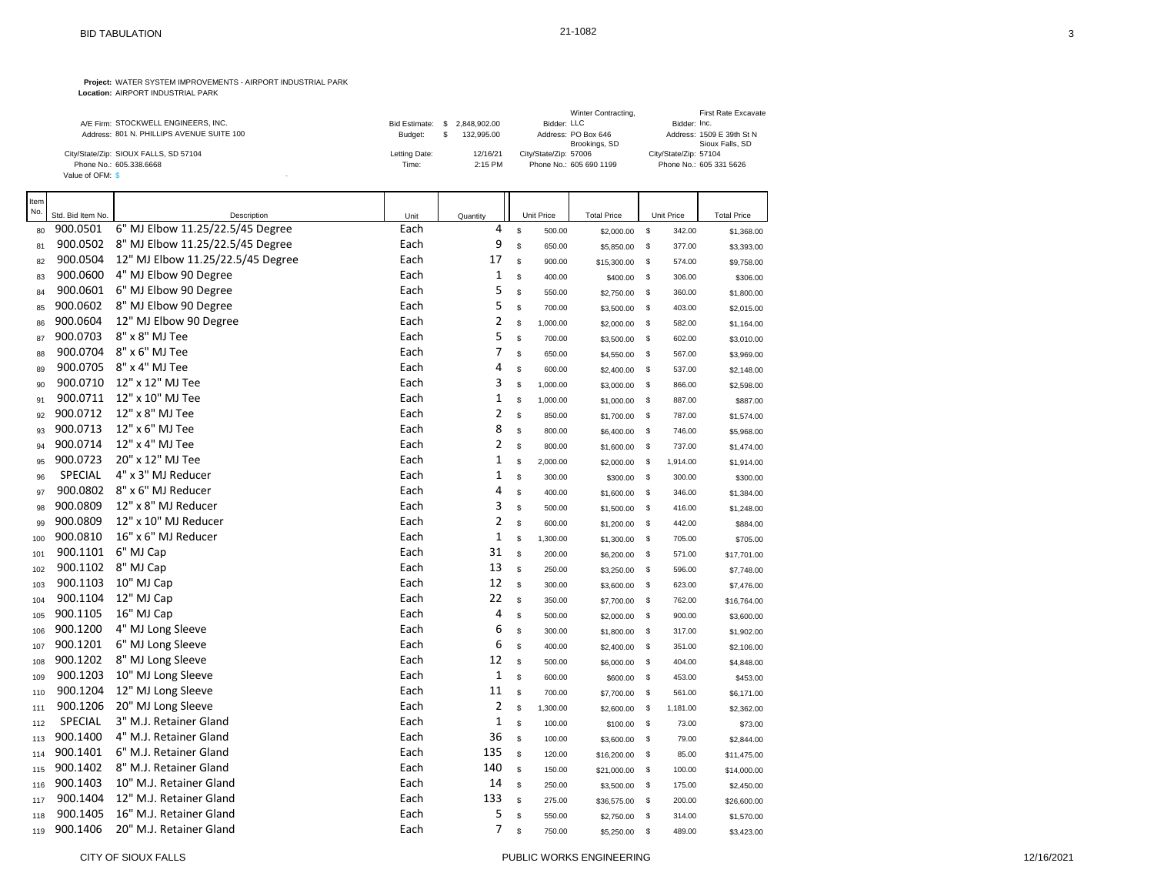|                                           |                      |              | Winter Contracting,     | First Rate Excavate       |
|-------------------------------------------|----------------------|--------------|-------------------------|---------------------------|
| A/E Firm: STOCKWELL ENGINEERS, INC.       | <b>Bid Estimate:</b> | 2.848.902.00 | Bidder: LLC             | Bidder: Inc.              |
| Address: 801 N. PHILLIPS AVENUE SUITE 100 | Budget:              | 132.995.00   | Address: PO Box 646     | Address: 1509 E 39th St N |
|                                           |                      |              | Brookings, SD           | Sioux Falls, SD           |
| City/State/Zip: SIOUX FALLS, SD 57104     | Letting Date:        | 12/16/21     | City/State/Zip: 57006   | City/State/Zip: 57104     |
| Phone No.: 605.338.6668                   | Time:                | $2:15$ PM    | Phone No.: 605 690 1199 | Phone No.: 605 331 5626   |
| Value of OFM: \$                          |                      |              |                         |                           |

| Item<br>No. | Std. Bid Item No. | Description                       | Unit | Quantity       | Unit Price              | <b>Total Price</b> |              | Unit Price | <b>Total Price</b> |
|-------------|-------------------|-----------------------------------|------|----------------|-------------------------|--------------------|--------------|------------|--------------------|
| 80          | 900.0501          | 6" MJ Elbow 11.25/22.5/45 Degree  | Each | 4              | \$<br>500.00            | \$2,000.00         | $\mathbb{S}$ | 342.00     | \$1,368.00         |
| 81          | 900.0502          | 8" MJ Elbow 11.25/22.5/45 Degree  | Each | 9              | \$<br>650.00            | \$5,850.00         | <b>S</b>     | 377.00     | \$3,393.00         |
| 82          | 900.0504          | 12" MJ Elbow 11.25/22.5/45 Degree | Each | 17             | \$<br>900.00            | \$15,300.00        | \$           | 574.00     | \$9,758.00         |
| 83          | 900.0600          | 4" MJ Elbow 90 Degree             | Each | $\mathbf{1}$   | \$<br>400.00            | \$400.00           | <b>S</b>     | 306.00     | \$306.00           |
| 84          | 900.0601          | 6" MJ Elbow 90 Degree             | Each | 5              | \$<br>550.00            | \$2,750.00         | \$           | 360.00     | \$1,800.00         |
| 85          | 900.0602          | 8" MJ Elbow 90 Degree             | Each | 5              | \$<br>700.00            | \$3,500.00         | \$           | 403.00     | \$2,015.00         |
| 86          | 900.0604          | 12" MJ Elbow 90 Degree            | Each | $\overline{c}$ | \$<br>1,000.00          | \$2,000.00         | <b>S</b>     | 582.00     | \$1,164.00         |
| 87          | 900.0703          | 8" x 8" MJ Tee                    | Each | 5              | \$<br>700.00            | \$3,500.00         | <b>S</b>     | 602.00     | \$3,010.00         |
| 88          | 900.0704          | 8" x 6" MJ Tee                    | Each | 7              | \$<br>650.00            | \$4,550.00         | <b>S</b>     | 567.00     | \$3,969.00         |
| 89          | 900.0705          | 8" x 4" MJ Tee                    | Each | $\overline{4}$ | \$<br>600.00            | \$2,400.00         | \$           | 537.00     | \$2,148.00         |
| 90          | 900.0710          | 12" x 12" MJ Tee                  | Each | 3              | \$<br>1,000.00          | \$3,000.00         | \$           | 866.00     | \$2,598.00         |
| 91          | 900.0711          | 12" x 10" MJ Tee                  | Each | $\mathbf{1}$   | \$<br>1,000.00          | \$1,000.00         | \$           | 887.00     | \$887.00           |
| 92          | 900.0712          | 12" x 8" MJ Tee                   | Each | $\overline{2}$ | \$<br>850.00            | \$1,700.00         | <b>S</b>     | 787.00     | \$1,574.00         |
| 93          | 900.0713          | 12" x 6" MJ Tee                   | Each | 8              | \$<br>800.00            | \$6,400.00         | <b>S</b>     | 746.00     | \$5,968.00         |
| 94          | 900.0714          | 12" x 4" MJ Tee                   | Each | $\overline{2}$ | \$<br>800.00            | \$1,600.00         | <b>S</b>     | 737.00     | \$1,474.00         |
| 95          | 900.0723          | 20" x 12" MJ Tee                  | Each | $\mathbf{1}$   | \$<br>2,000.00          | \$2,000.00         | -\$          | 1,914.00   | \$1,914.00         |
| 96          | <b>SPECIAL</b>    | 4" x 3" MJ Reducer                | Each | $\mathbf{1}$   | \$<br>300.00            | \$300.00           | <b>S</b>     | 300.00     | \$300.00           |
| 97          | 900.0802          | 8" x 6" MJ Reducer                | Each | 4              | \$<br>400.00            | \$1,600.00         | <b>S</b>     | 346.00     | \$1,384.00         |
| 98          | 900.0809          | 12" x 8" MJ Reducer               | Each | 3              | \$<br>500.00            | \$1,500.00         | \$           | 416.00     | \$1,248.00         |
| 99          | 900.0809          | 12" x 10" MJ Reducer              | Each | $\overline{2}$ | \$<br>600.00            | \$1,200.00         | $\mathbb{S}$ | 442.00     | \$884.00           |
| 100         | 900.0810          | 16" x 6" MJ Reducer               | Each | $\mathbf{1}$   | \$<br>1,300.00          | \$1,300.00         | \$           | 705.00     | \$705.00           |
| 101         | 900.1101          | 6" MJ Cap                         | Each | 31             | \$<br>200.00            | \$6,200.00         | <b>S</b>     | 571.00     | \$17,701.00        |
| 102         | 900.1102          | 8" MJ Cap                         | Each | 13             | s<br>250.00             | \$3,250.00         | <b>S</b>     | 596.00     | \$7,748.00         |
| 103         | 900.1103          | 10" MJ Cap                        | Each | 12             | $\mathbb S$<br>300.00   | \$3,600.00         | \$           | 623.00     | \$7,476.00         |
| 104         | 900.1104          | 12" MJ Cap                        | Each | 22             | $\mathbb S$<br>350.00   | \$7,700.00         | <b>S</b>     | 762.00     | \$16,764.00        |
| 105         | 900.1105          | 16" MJ Cap                        | Each | 4              | \$<br>500.00            | \$2,000.00         | <b>S</b>     | 900.00     | \$3,600.00         |
| 106         | 900.1200          | 4" MJ Long Sleeve                 | Each | 6              | \$<br>300.00            | \$1,800.00         | \$           | 317.00     | \$1,902.00         |
| 107         | 900.1201          | 6" MJ Long Sleeve                 | Each | 6              | \$<br>400.00            | \$2,400.00         | $\mathbb{S}$ | 351.00     | \$2,106.00         |
| 108         | 900.1202          | 8" MJ Long Sleeve                 | Each | 12             | s<br>500.00             | \$6,000.00         | \$           | 404.00     | \$4,848.00         |
| 109         | 900.1203          | 10" MJ Long Sleeve                | Each | $\mathbf{1}$   | \$<br>600.00            | \$600.00           | - \$         | 453.00     | \$453.00           |
| 110         | 900.1204          | 12" MJ Long Sleeve                | Each | 11             | ${\mathbb S}$<br>700.00 | \$7,700.00         | <b>S</b>     | 561.00     | \$6,171.00         |
| 111         | 900.1206          | 20" MJ Long Sleeve                | Each | $\overline{2}$ | \$<br>1,300.00          | \$2,600.00         | \$           | 1,181.00   | \$2,362.00         |
| 112         | SPECIAL           | 3" M.J. Retainer Gland            | Each | $\mathbf{1}$   | s<br>100.00             | \$100.00           | <b>S</b>     | 73.00      | \$73.00            |
| 113         | 900.1400          | 4" M.J. Retainer Gland            | Each | 36             | s<br>100.00             | \$3,600.00         | <b>S</b>     | 79.00      | \$2,844.00         |
| 114         | 900.1401          | 6" M.J. Retainer Gland            | Each | 135            | \$<br>120.00            | \$16,200.00        | - \$         | 85.00      | \$11,475.00        |
| 115         | 900.1402          | 8" M.J. Retainer Gland            | Each | 140            | $\mathbb S$<br>150.00   | \$21,000.00        | <b>S</b>     | 100.00     | \$14,000.00        |
| 116         | 900.1403          | 10" M.J. Retainer Gland           | Each | 14             | ${\mathbb S}$<br>250.00 | \$3,500.00         | <b>S</b>     | 175.00     | \$2,450.00         |
| 117         | 900.1404          | 12" M.J. Retainer Gland           | Each | 133            | \$<br>275.00            | \$36,575.00        | <b>S</b>     | 200.00     | \$26,600.00        |
| 118         | 900.1405          | 16" M.J. Retainer Gland           | Each | 5              | \$<br>550.00            | \$2,750.00         | <b>S</b>     | 314.00     | \$1,570.00         |
| 119         | 900.1406          | 20" M.J. Retainer Gland           | Each | $\overline{7}$ | \$<br>750.00            | \$5,250.00         | \$           | 489.00     | \$3,423.00         |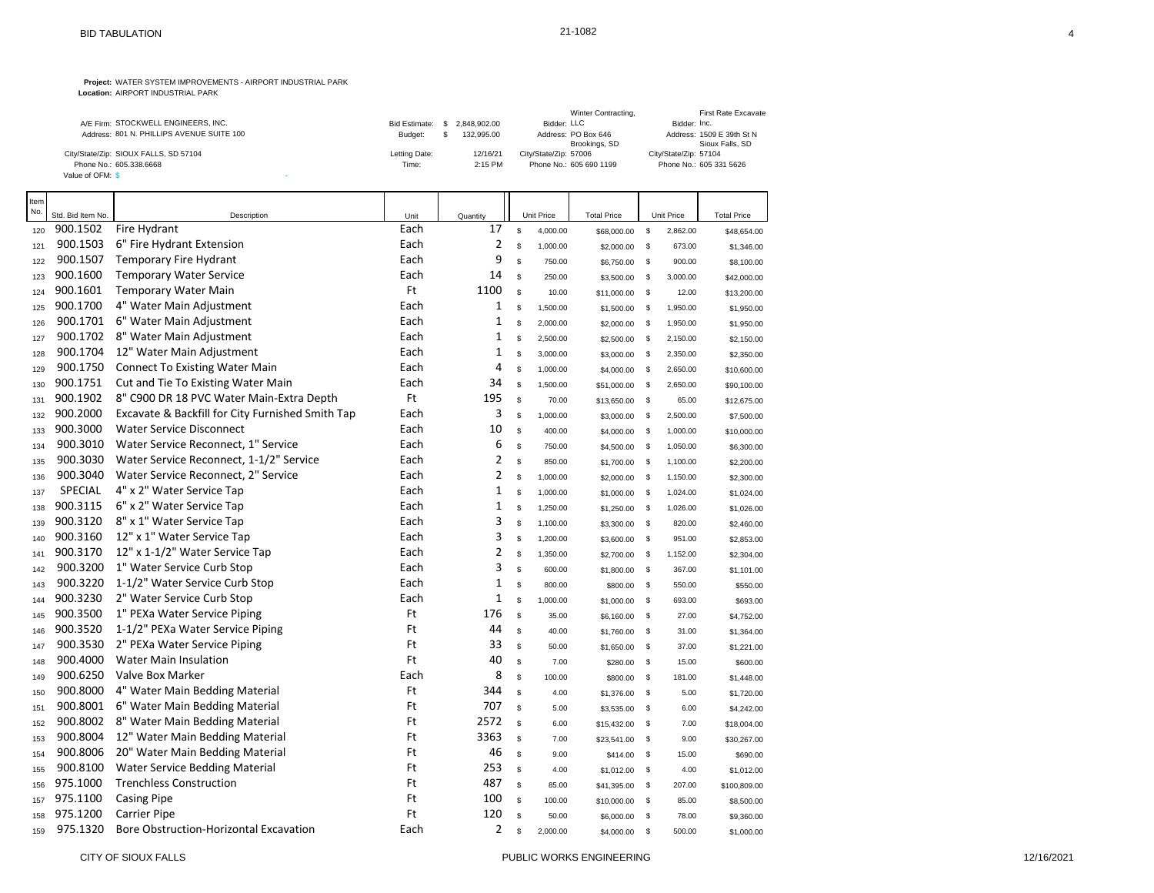|                                           |               |              | Winter Contracting,     | First Rate Excavate       |
|-------------------------------------------|---------------|--------------|-------------------------|---------------------------|
| A/E Firm: STOCKWELL ENGINEERS, INC.       | Bid Estimate: | 2.848.902.00 | Bidder: LLC             | Bidder: Inc.              |
| Address: 801 N. PHILLIPS AVENUE SUITE 100 | Budget:       | 132.995.00   | Address: PO Box 646     | Address: 1509 E 39th St N |
|                                           |               |              | Brookings, SD           | Sioux Falls, SD           |
| City/State/Zip: SIOUX FALLS, SD 57104     | Letting Date: | 12/16/21     | City/State/Zip: 57006   | City/State/Zip: 57104     |
| Phone No.: 605.338.6668                   | Time:         | $2:15$ PM    | Phone No.: 605 690 1199 | Phone No.: 605 331 5626   |
| Value of OFM: \$                          |               |              |                         |                           |

| Item<br>No. | Std. Bid Item No. | Description                                      | Unit | Quantity       |             | Unit Price | <b>Total Price</b> |               | Unit Price | <b>Total Price</b> |
|-------------|-------------------|--------------------------------------------------|------|----------------|-------------|------------|--------------------|---------------|------------|--------------------|
| 120         | 900.1502          | Fire Hydrant                                     | Each | 17             | \$          | 4,000.00   | \$68,000.00        | $\mathfrak s$ | 2,862.00   | \$48,654.00        |
| 121         | 900.1503          | 6" Fire Hydrant Extension                        | Each | $\overline{2}$ | $\mathbb S$ | 1,000.00   | \$2,000.00         | <b>S</b>      | 673.00     | \$1,346.00         |
| 122         | 900.1507          | <b>Temporary Fire Hydrant</b>                    | Each | 9              | $\mathbb S$ | 750.00     | \$6,750.00         | \$            | 900.00     | \$8,100.00         |
| 123         | 900.1600          | <b>Temporary Water Service</b>                   | Each | 14             | s           | 250.00     | \$3,500.00         | \$            | 3,000.00   | \$42,000.00        |
| 124         | 900.1601          | <b>Temporary Water Main</b>                      | Ft   | 1100           | \$          | 10.00      | \$11,000.00        | \$            | 12.00      | \$13,200.00        |
| 125         | 900.1700          | 4" Water Main Adjustment                         | Each | 1              | \$          | 1,500.00   | \$1,500.00         | \$            | 1,950.00   | \$1,950.00         |
| 126         | 900.1701          | 6" Water Main Adjustment                         | Each | $\mathbf 1$    | \$          | 2,000.00   | \$2,000.00         | \$            | 1,950.00   | \$1,950.00         |
| 127         | 900.1702          | 8" Water Main Adjustment                         | Each | $\mathbf 1$    | $\mathbb S$ | 2,500.00   | \$2,500.00         | \$            | 2,150.00   | \$2,150.00         |
| 128         | 900.1704          | 12" Water Main Adjustment                        | Each | 1              | <b>S</b>    | 3,000.00   | \$3,000.00         | \$            | 2,350.00   | \$2,350.00         |
| 129         | 900.1750          | <b>Connect To Existing Water Main</b>            | Each | $\overline{4}$ | \$          | 1,000.00   | \$4,000.00         | \$            | 2,650.00   | \$10,600.00        |
| 130         | 900.1751          | Cut and Tie To Existing Water Main               | Each | 34             | \$          | 1,500.00   | \$51,000.00        | - \$          | 2,650.00   | \$90,100.00        |
| 131         | 900.1902          | 8" C900 DR 18 PVC Water Main-Extra Depth         | Ft   | 195            | \$          | 70.00      | \$13,650.00        | \$            | 65.00      | \$12,675.00        |
| 132         | 900.2000          | Excavate & Backfill for City Furnished Smith Tap | Each | 3              | $\mathbb S$ | 1,000.00   | \$3,000.00         | \$            | 2,500.00   | \$7,500.00         |
| 133         | 900.3000          | <b>Water Service Disconnect</b>                  | Each | 10             | s           | 400.00     | \$4,000.00         | \$            | 1,000.00   | \$10,000.00        |
| 134         | 900.3010          | Water Service Reconnect, 1" Service              | Each | 6              | $\mathbb S$ | 750.00     | \$4,500.00         | \$            | 1,050.00   | \$6,300.00         |
| 135         | 900.3030          | Water Service Reconnect, 1-1/2" Service          | Each | $\overline{2}$ | $\mathbb S$ | 850.00     | \$1,700.00         | $\mathbb{S}$  | 1,100.00   | \$2,200.00         |
| 136         | 900.3040          | Water Service Reconnect, 2" Service              | Each | $\overline{2}$ | <b>S</b>    | 1,000.00   | \$2,000.00         | \$            | 1,150.00   | \$2,300.00         |
| 137         | <b>SPECIAL</b>    | 4" x 2" Water Service Tap                        | Each | $\mathbf{1}$   | $\mathbb S$ | 1,000.00   | \$1,000.00         | $\mathbb{S}$  | 1,024.00   | \$1,024.00         |
| 138         | 900.3115          | 6" x 2" Water Service Tap                        | Each | $\mathbf 1$    | \$          | 1,250.00   | \$1,250.00         | \$            | 1,026.00   | \$1,026.00         |
| 139         | 900.3120          | 8" x 1" Water Service Tap                        | Each | 3              | \$          | 1,100.00   | \$3,300.00         | $\mathbb{S}$  | 820.00     | \$2,460.00         |
| 140         | 900.3160          | 12" x 1" Water Service Tap                       | Each | 3              | \$          | 1,200.00   | \$3,600.00         | - \$          | 951.00     | \$2,853.00         |
| 141         | 900.3170          | 12" x 1-1/2" Water Service Tap                   | Each | $\overline{2}$ | \$          | 1,350.00   | \$2,700.00         | \$            | 1,152.00   | \$2,304.00         |
| 142         | 900.3200          | 1" Water Service Curb Stop                       | Each | 3              | $\mathbb S$ | 600.00     | \$1,800.00         | \$            | 367.00     | \$1,101.00         |
| 143         | 900.3220          | 1-1/2" Water Service Curb Stop                   | Each | $\mathbf{1}$   | \$          | 800.00     | \$800.00           | \$            | 550.00     | \$550.00           |
| 144         | 900.3230          | 2" Water Service Curb Stop                       | Each | 1              | \$          | 1,000.00   | \$1,000.00         | $\mathbb{S}$  | 693.00     | \$693.00           |
| 145         | 900.3500          | 1" PEXa Water Service Piping                     | Ft   | 176            | \$          | 35.00      | \$6,160.00         | \$            | 27.00      | \$4,752.00         |
| 146         | 900.3520          | 1-1/2" PEXa Water Service Piping                 | Ft   | 44             | \$          | 40.00      | \$1,760.00         | \$            | 31.00      | \$1,364.00         |
| 147         | 900.3530          | 2" PEXa Water Service Piping                     | Ft   | 33             | s           | 50.00      | \$1,650.00         | $\mathbb S$   | 37.00      | \$1,221.00         |
| 148         | 900.4000          | <b>Water Main Insulation</b>                     | Ft   | 40             | $\mathbb S$ | 7.00       | \$280.00           | \$            | 15.00      | \$600.00           |
| 149         | 900.6250          | Valve Box Marker                                 | Each | 8              | <b>S</b>    | 100.00     | \$800.00           | \$            | 181.00     | \$1,448.00         |
| 150         | 900.8000          | 4" Water Main Bedding Material                   | Ft   | 344            | \$          | 4.00       | \$1,376.00         | \$            | 5.00       | \$1,720.00         |
| 151         | 900.8001          | 6" Water Main Bedding Material                   | Ft   | 707            | \$          | 5.00       | \$3,535.00         | \$            | 6.00       | \$4,242.00         |
| 152         | 900.8002          | 8" Water Main Bedding Material                   | Ft   | 2572           | \$.         | 6.00       | \$15,432.00        | \$            | 7.00       | \$18,004.00        |
| 153         | 900.8004          | 12" Water Main Bedding Material                  | Ft   | 3363           | \$          | 7.00       | \$23,541.00        | \$            | 9.00       | \$30,267.00        |
| 154         | 900.8006          | 20" Water Main Bedding Material                  | Ft   | 46             | \$          | 9.00       | \$414.00           | \$            | 15.00      | \$690.00           |
| 155         | 900.8100          | Water Service Bedding Material                   | Ft   | 253            | s           | 4.00       | \$1,012.00         | \$            | 4.00       | \$1,012.00         |
| 156         | 975.1000          | <b>Trenchless Construction</b>                   | Ft   | 487            | \$          | 85.00      | \$41,395.00        | \$            | 207.00     | \$100,809.00       |
| 157         | 975.1100          | <b>Casing Pipe</b>                               | Ft   | 100            | \$          | 100.00     | \$10,000.00        | <b>S</b>      | 85.00      | \$8,500.00         |
| 158         | 975.1200          | <b>Carrier Pipe</b>                              | Ft   | 120            | \$          | 50.00      | \$6,000.00         | <b>S</b>      | 78.00      | \$9,360.00         |
| 159         | 975.1320          | Bore Obstruction-Horizontal Excavation           | Each | $\overline{2}$ | \$.         | 2,000.00   | \$4,000.00         | $\mathbb S$   | 500.00     | \$1,000.00         |